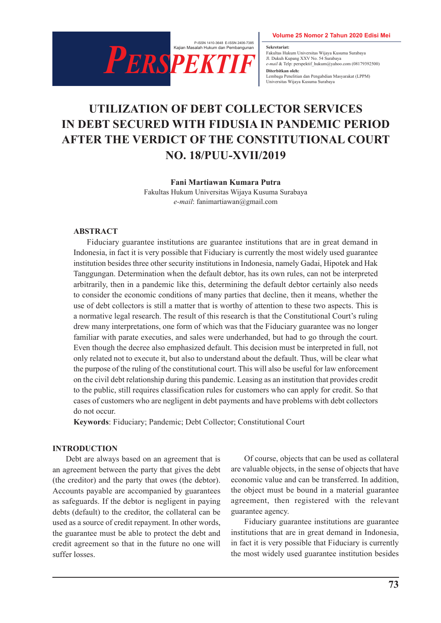

sekretariat.<br>Fakultas Hukum Universitas Wijaya Kusuma Surabaya **Sekretariat:** Jl. Dukuh Kupang XXV No. 54 Surabaya *e-mail* & Telp: perspektif\_hukum@yahoo.com (08179392500) **Diterbitkan oleh:** Lembaga Penelitian dan Pengabdian Masyarakat (LPPM) Universitas Wijaya Kusuma Surabaya

# **UTILIZATION OF DEBT COLLECTOR SERVICES IN DEBT SECURED WITH FIDUSIA IN PANDEMIC PERIOD AFTER THE VERDICT OF THE CONSTITUTIONAL COURT NO. 18/PUU-XVII/2019**

**Fani Martiawan Kumara Putra**

Fakultas Hukum Universitas Wijaya Kusuma Surabaya *e-mail*: fanimartiawan@gmail.com

#### **ABSTRACT**

Fiduciary guarantee institutions are guarantee institutions that are in great demand in Indonesia, in fact it is very possible that Fiduciary is currently the most widely used guarantee institution besides three other security institutions in Indonesia, namely Gadai, Hipotek and Hak Tanggungan. Determination when the default debtor, has its own rules, can not be interpreted arbitrarily, then in a pandemic like this, determining the default debtor certainly also needs to consider the economic conditions of many parties that decline, then it means, whether the use of debt collectors is still a matter that is worthy of attention to these two aspects. This is a normative legal research. The result of this research is that the Constitutional Court's ruling drew many interpretations, one form of which was that the Fiduciary guarantee was no longer familiar with parate executies, and sales were underhanded, but had to go through the court. Even though the decree also emphasized default. This decision must be interpreted in full, not only related not to execute it, but also to understand about the default. Thus, will be clear what the purpose of the ruling of the constitutional court. This will also be useful for law enforcement on the civil debt relationship during this pandemic. Leasing as an institution that provides credit to the public, still requires classification rules for customers who can apply for credit. So that cases of customers who are negligent in debt payments and have problems with debt collectors do not occur.

**Keywords**: Fiduciary; Pandemic; Debt Collector; Constitutional Court

#### **INTRODUCTION**

Debt are always based on an agreement that is an agreement between the party that gives the debt (the creditor) and the party that owes (the debtor). Accounts payable are accompanied by guarantees as safeguards. If the debtor is negligent in paying debts (default) to the creditor, the collateral can be used as a source of credit repayment. In other words, the guarantee must be able to protect the debt and credit agreement so that in the future no one will suffer losses.

Of course, objects that can be used as collateral are valuable objects, in the sense of objects that have economic value and can be transferred. In addition, the object must be bound in a material guarantee agreement, then registered with the relevant guarantee agency.

Fiduciary guarantee institutions are guarantee institutions that are in great demand in Indonesia, in fact it is very possible that Fiduciary is currently the most widely used guarantee institution besides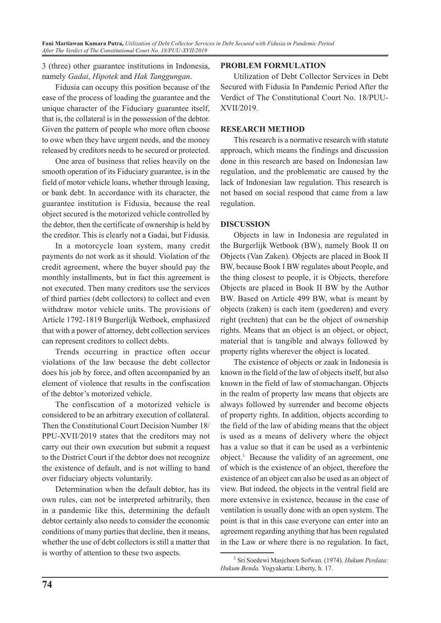3 (three) other guarantee institutions in Indonesia, namely *Gadai*, *Hipotek* and *Hak Tanggungan*.

Fidusia can occupy this position because of the ease of the process of loading the guarantee and the unique character of the Fiduciary guarantee itself, that is, the collateral is in the possession of the debtor. Given the pattern of people who more often choose to owe when they have urgent needs, and the money released by creditors needs to be secured or protected.

One area of business that relies heavily on the smooth operation of its Fiduciary guarantee, is in the field of motor vehicle loans, whether through leasing, or bank debt. In accordance with its character, the guarantee institution is Fidusia, because the real object secured is the motorized vehicle controlled by the debtor, then the certificate of ownership is held by the creditor. This is clearly not a Gadai, but Fidusia.

In a motorcycle loan system, many credit payments do not work as it should. Violation of the credit agreement, where the buyer should pay the monthly installments, but in fact this agreement is not executed. Then many creditors use the services of third parties (debt collectors) to collect and even withdraw motor vehicle units. The provisions of Article 1792-1819 Burgerlijk Wetboek, emphasized that with a power of attorney, debt collection services can represent creditors to collect debts.

Trends occurring in practice often occur violations of the law because the debt collector does his job by force, and often accompanied by an element of violence that results in the confiscation of the debtor's motorized vehicle.

The confiscation of a motorized vehicle is considered to be an arbitrary execution of collateral. Then the Constitutional Court Decision Number 18/ PPU-XVII/2019 states that the creditors may not carry out their own execution but submit a request to the District Court if the debtor does not recognize the existence of default, and is not willing to hand over fiduciary objects voluntarily.

Determination when the default debtor, has its own rules, can not be interpreted arbitrarily, then in a pandemic like this, determining the default debtor certainly also needs to consider the economic conditions of many parties that decline, then it means, whether the use of debt collectors is still a matter that is worthy of attention to these two aspects.

## **PROBLEM FORMULATION**

Utilization of Debt Collector Services in Debt Secured with Fidusia In Pandemic Period After the Verdict of The Constitutional Court No. 18/PUU-XVII/2019.

## **RESEARCH METHOD**

This research is a normative research with statute approach, which means the findings and discussion done in this research are based on Indonesian law regulation, and the problematic are caused by the lack of Indonesian law regulation. This research is not based on social respond that came from a law regulation.

## **DISCUSSION**

Objects in law in Indonesia are regulated in the Burgerlijk Wetbook (BW), namely Book II on Objects (Van Zaken). Objects are placed in Book II BW, because Book I BW regulates about People, and the thing closest to people, it is Objects, therefore Objects are placed in Book II BW by the Author BW. Based on Article 499 BW, what is meant by objects (zaken) is each item (goederen) and every right (rechten) that can be the object of ownership rights. Means that an object is an object, or object, material that is tangible and always followed by property rights wherever the object is located.

The existence of objects or zaak in Indonesia is known in the field of the law of objects itself, but also known in the field of law of stomachangan. Objects in the realm of property law means that objects are always followed by surrender and become objects of property rights. In addition, objects according to the field of the law of abiding means that the object is used as a means of delivery where the object has a value so that it can be used as a verbintenic object.1 Because the validity of an agreement, one of which is the existence of an object, therefore the existence of an object can also be used as an object of view. But indeed, the objects in the ventral field are more extensive in existence, because in the case of ventilation is usually done with an open system. The point is that in this case everyone can enter into an agreement regarding anything that has been regulated in the Law or where there is no regulation. In fact,

<sup>1</sup> Sri Soedewi Masjchoen Sofwan. (1974). *Hukum Perdata: Hukum Benda.* Yogyakarta: Liberty, h. 17.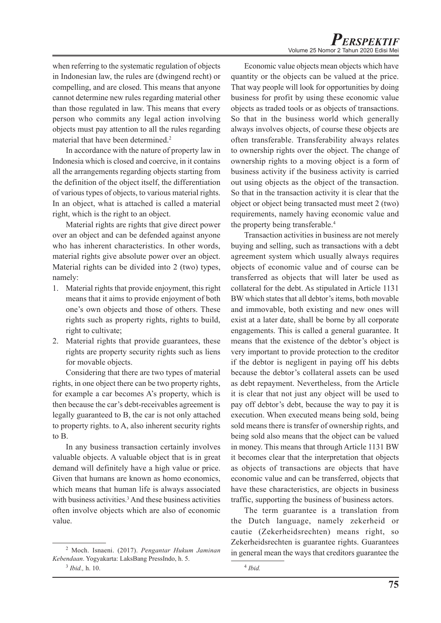when referring to the systematic regulation of objects in Indonesian law, the rules are (dwingend recht) or compelling, and are closed. This means that anyone cannot determine new rules regarding material other than those regulated in law. This means that every person who commits any legal action involving objects must pay attention to all the rules regarding material that have been determined.<sup>2</sup>

In accordance with the nature of property law in Indonesia which is closed and coercive, in it contains all the arrangements regarding objects starting from the definition of the object itself, the differentiation of various types of objects, to various material rights. In an object, what is attached is called a material right, which is the right to an object.

Material rights are rights that give direct power over an object and can be defended against anyone who has inherent characteristics. In other words, material rights give absolute power over an object. Material rights can be divided into 2 (two) types, namely:

- 1. Material rights that provide enjoyment, this right means that it aims to provide enjoyment of both one's own objects and those of others. These rights such as property rights, rights to build, right to cultivate;
- 2. Material rights that provide guarantees, these rights are property security rights such as liens for movable objects.

Considering that there are two types of material rights, in one object there can be two property rights, for example a car becomes A's property, which is then because the car's debt-receivables agreement is legally guaranteed to B, the car is not only attached to property rights. to A, also inherent security rights to B.

In any business transaction certainly involves valuable objects. A valuable object that is in great demand will definitely have a high value or price. Given that humans are known as homo economics, which means that human life is always associated with business activities.<sup>3</sup> And these business activities often involve objects which are also of economic value.

Economic value objects mean objects which have quantity or the objects can be valued at the price. That way people will look for opportunities by doing business for profit by using these economic value objects as traded tools or as objects of transactions. So that in the business world which generally always involves objects, of course these objects are often transferable. Transferability always relates to ownership rights over the object. The change of ownership rights to a moving object is a form of business activity if the business activity is carried out using objects as the object of the transaction. So that in the transaction activity it is clear that the object or object being transacted must meet 2 (two) requirements, namely having economic value and the property being transferable.<sup>4</sup>

Transaction activities in business are not merely buying and selling, such as transactions with a debt agreement system which usually always requires objects of economic value and of course can be transferred as objects that will later be used as collateral for the debt. As stipulated in Article 1131 BW which states that all debtor's items, both movable and immovable, both existing and new ones will exist at a later date, shall be borne by all corporate engagements. This is called a general guarantee. It means that the existence of the debtor's object is very important to provide protection to the creditor if the debtor is negligent in paying off his debts because the debtor's collateral assets can be used as debt repayment. Nevertheless, from the Article it is clear that not just any object will be used to pay off debtor's debt, because the way to pay it is execution. When executed means being sold, being sold means there is transfer of ownership rights, and being sold also means that the object can be valued in money. This means that through Article 1131 BW it becomes clear that the interpretation that objects as objects of transactions are objects that have economic value and can be transferred, objects that have these characteristics, are objects in business traffic, supporting the business of business actors.

The term guarantee is a translation from the Dutch language, namely zekerheid or cautie (Zekerheidsrechten) means right, so Zekerheidsrechten is guarantee rights. Guarantees in general mean the ways that creditors guarantee the

<sup>2</sup> Moch. Isnaeni. (2017). *Pengantar Hukum Jaminan Kebendaan*. Yogyakarta: LaksBang PressIndo, h. 5. 3  *Ibid.,* h. 10.

<sup>4</sup>  *Ibid.*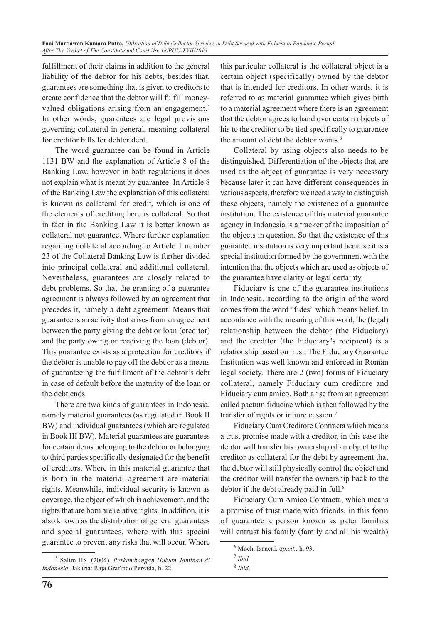fulfillment of their claims in addition to the general liability of the debtor for his debts, besides that, guarantees are something that is given to creditors to create confidence that the debtor will fulfill moneyvalued obligations arising from an engagement.<sup>5</sup> In other words, guarantees are legal provisions governing collateral in general, meaning collateral for creditor bills for debtor debt.

The word guarantee can be found in Article 1131 BW and the explanation of Article 8 of the Banking Law, however in both regulations it does not explain what is meant by guarantee. In Article 8 of the Banking Law the explanation of this collateral is known as collateral for credit, which is one of the elements of crediting here is collateral. So that in fact in the Banking Law it is better known as collateral not guarantee. Where further explanation regarding collateral according to Article 1 number 23 of the Collateral Banking Law is further divided into principal collateral and additional collateral. Nevertheless, guarantees are closely related to debt problems. So that the granting of a guarantee agreement is always followed by an agreement that precedes it, namely a debt agreement. Means that guarantee is an activity that arises from an agreement between the party giving the debt or loan (creditor) and the party owing or receiving the loan (debtor). This guarantee exists as a protection for creditors if the debtor is unable to pay off the debt or as a means of guaranteeing the fulfillment of the debtor's debt in case of default before the maturity of the loan or the debt ends.

There are two kinds of guarantees in Indonesia, namely material guarantees (as regulated in Book II BW) and individual guarantees (which are regulated in Book III BW). Material guarantees are guarantees for certain items belonging to the debtor or belonging to third parties specifically designated for the benefit of creditors. Where in this material guarantee that is born in the material agreement are material rights. Meanwhile, individual security is known as coverage, the object of which is achievement, and the rights that are born are relative rights. In addition, it is also known as the distribution of general guarantees and special guarantees, where with this special guarantee to prevent any risks that will occur. Where

5 Salim HS. (2004). *Perkembangan Hukum Jaminan di Indonesia.* Jakarta: Raja Grafindo Persada, h. 22.

this particular collateral is the collateral object is a certain object (specifically) owned by the debtor that is intended for creditors. In other words, it is referred to as material guarantee which gives birth to a material agreement where there is an agreement that the debtor agrees to hand over certain objects of his to the creditor to be tied specifically to guarantee the amount of debt the debtor wants.<sup>6</sup>

Collateral by using objects also needs to be distinguished. Differentiation of the objects that are used as the object of guarantee is very necessary because later it can have different consequences in various aspects, therefore we need a way to distinguish these objects, namely the existence of a guarantee institution. The existence of this material guarantee agency in Indonesia is a tracker of the imposition of the objects in question. So that the existence of this guarantee institution is very important because it is a special institution formed by the government with the intention that the objects which are used as objects of the guarantee have clarity or legal certainty.

Fiduciary is one of the guarantee institutions in Indonesia. according to the origin of the word comes from the word "fides" which means belief. In accordance with the meaning of this word, the (legal) relationship between the debtor (the Fiduciary) and the creditor (the Fiduciary's recipient) is a relationship based on trust. The Fiduciary Guarantee Institution was well known and enforced in Roman legal society. There are 2 (two) forms of Fiduciary collateral, namely Fiduciary cum creditore and Fiduciary cum amico. Both arise from an agreement called pactum fiduciae which is then followed by the transfer of rights or in iure cession*.* 7

Fiduciary Cum Creditore Contracta which means a trust promise made with a creditor, in this case the debtor will transfer his ownership of an object to the creditor as collateral for the debt by agreement that the debtor will still physically control the object and the creditor will transfer the ownership back to the debtor if the debt already paid in full.<sup>8</sup>

Fiduciary Cum Amico Contracta, which means a promise of trust made with friends, in this form of guarantee a person known as pater familias will entrust his family (family and all his wealth)

<sup>6</sup> Moch. Isnaeni. o*p.cit.,* h. 93.

<sup>7</sup>  *Ibid.*

<sup>8</sup>  *Ibid*.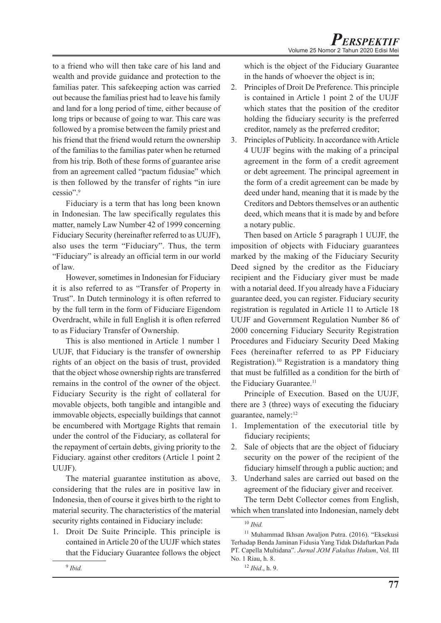to a friend who will then take care of his land and wealth and provide guidance and protection to the familias pater. This safekeeping action was carried out because the familias priest had to leave his family and land for a long period of time, either because of long trips or because of going to war. This care was followed by a promise between the family priest and his friend that the friend would return the ownership of the familias to the familias pater when he returned from his trip. Both of these forms of guarantee arise from an agreement called "pactum fidusiae" which is then followed by the transfer of rights "in iure cessio".9

Fiduciary is a term that has long been known in Indonesian. The law specifically regulates this matter, namely Law Number 42 of 1999 concerning Fiduciary Security (hereinafter referred to as UUJF), also uses the term "Fiduciary". Thus, the term "Fiduciary" is already an official term in our world of law.

However, sometimes in Indonesian for Fiduciary it is also referred to as "Transfer of Property in Trust". In Dutch terminology it is often referred to by the full term in the form of Fiduciare Eigendom Overdracht, while in full English it is often referred to as Fiduciary Transfer of Ownership.

This is also mentioned in Article 1 number 1 UUJF, that Fiduciary is the transfer of ownership rights of an object on the basis of trust, provided that the object whose ownership rights are transferred remains in the control of the owner of the object. Fiduciary Security is the right of collateral for movable objects, both tangible and intangible and immovable objects, especially buildings that cannot be encumbered with Mortgage Rights that remain under the control of the Fiduciary, as collateral for the repayment of certain debts, giving priority to the Fiduciary. against other creditors (Article 1 point 2 UUJF).

The material guarantee institution as above, considering that the rules are in positive law in Indonesia, then of course it gives birth to the right to material security. The characteristics of the material security rights contained in Fiduciary include:

1. Droit De Suite Principle. This principle is contained in Article 20 of the UUJF which states that the Fiduciary Guarantee follows the object which is the object of the Fiduciary Guarantee in the hands of whoever the object is in;

- 2. Principles of Droit De Preference. This principle is contained in Article 1 point 2 of the UUJF which states that the position of the creditor holding the fiduciary security is the preferred creditor, namely as the preferred creditor;
- 3. Principles of Publicity. In accordance with Article 4 UUJF begins with the making of a principal agreement in the form of a credit agreement or debt agreement. The principal agreement in the form of a credit agreement can be made by deed under hand, meaning that it is made by the Creditors and Debtors themselves or an authentic deed, which means that it is made by and before a notary public.

Then based on Article 5 paragraph 1 UUJF, the imposition of objects with Fiduciary guarantees marked by the making of the Fiduciary Security Deed signed by the creditor as the Fiduciary recipient and the Fiduciary giver must be made with a notarial deed. If you already have a Fiduciary guarantee deed, you can register. Fiduciary security registration is regulated in Article 11 to Article 18 UUJF and Government Regulation Number 86 of 2000 concerning Fiduciary Security Registration Procedures and Fiduciary Security Deed Making Fees (hereinafter referred to as PP Fiduciary Registration).10 Registration is a mandatory thing that must be fulfilled as a condition for the birth of the Fiduciary Guarantee.<sup>11</sup>

Principle of Execution. Based on the UUJF, there are 3 (three) ways of executing the fiduciary guarantee, namely:<sup>12</sup>

- 1. Implementation of the executorial title by fiduciary recipients;
- 2. Sale of objects that are the object of fiduciary security on the power of the recipient of the fiduciary himself through a public auction; and
- 3. Underhand sales are carried out based on the agreement of the fiduciary giver and receiver.

The term Debt Collector comes from English, which when translated into Indonesian, namely debt

<sup>10</sup> *Ibid.*

<sup>&</sup>lt;sup>11</sup> Muhammad Ikhsan Awaljon Putra. (2016). "Eksekusi Terhadap Benda Jaminan Fidusia Yang Tidak Didaftarkan Pada PT. Capella Multidana". *Jurnal JOM Fakultas Hukum*, Vol. III No. 1 Riau, h. 8.

<sup>12</sup> *Ibid*., h. 9.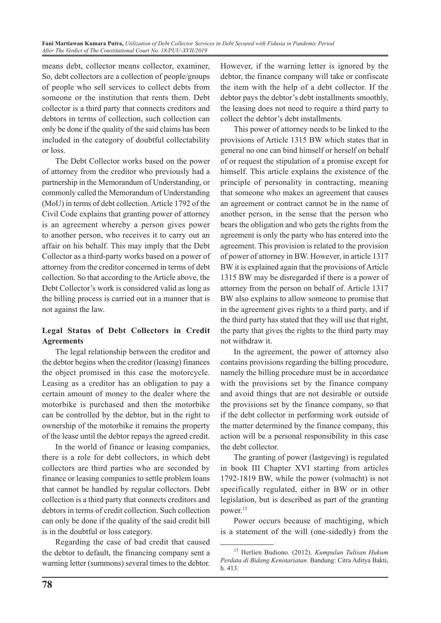means debt, collector means collector, examiner, So, debt collectors are a collection of people/groups of people who sell services to collect debts from someone or the institution that rents them. Debt collector is a third party that connects creditors and debtors in terms of collection, such collection can only be done if the quality of the said claims has been included in the category of doubtful collectability or loss.

The Debt Collector works based on the power of attorney from the creditor who previously had a partnership in the Memorandum of Understanding, or commonly called the Memorandum of Understanding (MoU) in terms of debt collection. Article 1792 of the Civil Code explains that granting power of attorney is an agreement whereby a person gives power to another person, who receives it to carry out an affair on his behalf. This may imply that the Debt Collector as a third-party works based on a power of attorney from the creditor concerned in terms of debt collection. So that according to the Article above, the Debt Collector's work is considered valid as long as the billing process is carried out in a manner that is not against the law.

## **Legal Status of Debt Collectors in Credit Agreements**

The legal relationship between the creditor and the debtor begins when the creditor (leasing) finances the object promised in this case the motorcycle. Leasing as a creditor has an obligation to pay a certain amount of money to the dealer where the motorbike is purchased and then the motorbike can be controlled by the debtor, but in the right to ownership of the motorbike it remains the property of the lease until the debtor repays the agreed credit.

In the world of finance or leasing companies, there is a role for debt collectors, in which debt collectors are third parties who are seconded by finance or leasing companies to settle problem loans that cannot be handled by regular collectors. Debt collection is a third party that connects creditors and debtors in terms of credit collection. Such collection can only be done if the quality of the said credit bill is in the doubtful or loss category.

Regarding the case of bad credit that caused the debtor to default, the financing company sent a warning letter (summons) several times to the debtor. However, if the warning letter is ignored by the debtor, the finance company will take or confiscate the item with the help of a debt collector. If the debtor pays the debtor's debt installments smoothly, the leasing does not need to require a third party to collect the debtor's debt installments.

This power of attorney needs to be linked to the provisions of Article 1315 BW which states that in general no one can bind himself or herself on behalf of or request the stipulation of a promise except for himself. This article explains the existence of the principle of personality in contracting, meaning that someone who makes an agreement that causes an agreement or contract cannot be in the name of another person, in the sense that the person who bears the obligation and who gets the rights from the agreement is only the party who has entered into the agreement. This provision is related to the provision of power of attorney in BW. However, in article 1317 BW it is explained again that the provisions of Article 1315 BW may be disregarded if there is a power of attorney from the person on behalf of. Article 1317 BW also explains to allow someone to promise that in the agreement gives rights to a third party, and if the third party has stated that they will use that right, the party that gives the rights to the third party may not withdraw it.

In the agreement, the power of attorney also contains provisions regarding the billing procedure, namely the billing procedure must be in accordance with the provisions set by the finance company and avoid things that are not desirable or outside the provisions set by the finance company, so that if the debt collector in performing work outside of the matter determined by the finance company, this action will be a personal responsibility in this case the debt collector.

The granting of power (lastgeving) is regulated in book III Chapter XVI starting from articles 1792-1819 BW, while the power (volmacht) is not specifically regulated, either in BW or in other legislation, but is described as part of the granting power.<sup>13</sup>

Power occurs because of machtiging, which is a statement of the will (one-sidedly) from the

<sup>13</sup> Herlien Budiono. (2012). *Kumpulan Tulisan Hukum Perdata di Bidang Kenotariatan.* Bandung: Citra Aditya Bakti, h. 413.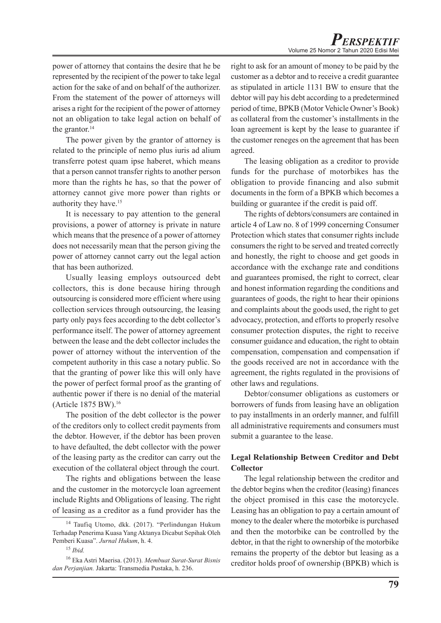power of attorney that contains the desire that he be represented by the recipient of the power to take legal action for the sake of and on behalf of the authorizer. From the statement of the power of attorneys will arises a right for the recipient of the power of attorney not an obligation to take legal action on behalf of the grantor. $14$ 

The power given by the grantor of attorney is related to the principle of nemo plus iuris ad alium transferre potest quam ipse haberet, which means that a person cannot transfer rights to another person more than the rights he has, so that the power of attorney cannot give more power than rights or authority they have.15

It is necessary to pay attention to the general provisions, a power of attorney is private in nature which means that the presence of a power of attorney does not necessarily mean that the person giving the power of attorney cannot carry out the legal action that has been authorized.

Usually leasing employs outsourced debt collectors, this is done because hiring through outsourcing is considered more efficient where using collection services through outsourcing, the leasing party only pays fees according to the debt collector's performance itself. The power of attorney agreement between the lease and the debt collector includes the power of attorney without the intervention of the competent authority in this case a notary public. So that the granting of power like this will only have the power of perfect formal proof as the granting of authentic power if there is no denial of the material (Article 1875 BW).16

The position of the debt collector is the power of the creditors only to collect credit payments from the debtor. However, if the debtor has been proven to have defaulted, the debt collector with the power of the leasing party as the creditor can carry out the execution of the collateral object through the court.

The rights and obligations between the lease and the customer in the motorcycle loan agreement include Rights and Obligations of leasing. The right of leasing as a creditor as a fund provider has the

right to ask for an amount of money to be paid by the customer as a debtor and to receive a credit guarantee as stipulated in article 1131 BW to ensure that the debtor will pay his debt according to a predetermined period of time, BPKB (Motor Vehicle Owner's Book) as collateral from the customer's installments in the loan agreement is kept by the lease to guarantee if the customer reneges on the agreement that has been agreed.

The leasing obligation as a creditor to provide funds for the purchase of motorbikes has the obligation to provide financing and also submit documents in the form of a BPKB which becomes a building or guarantee if the credit is paid off.

The rights of debtors/consumers are contained in article 4 of Law no. 8 of 1999 concerning Consumer Protection which states that consumer rights include consumers the right to be served and treated correctly and honestly, the right to choose and get goods in accordance with the exchange rate and conditions and guarantees promised, the right to correct, clear and honest information regarding the conditions and guarantees of goods, the right to hear their opinions and complaints about the goods used, the right to get advocacy, protection, and efforts to properly resolve consumer protection disputes, the right to receive consumer guidance and education, the right to obtain compensation, compensation and compensation if the goods received are not in accordance with the agreement, the rights regulated in the provisions of other laws and regulations.

Debtor/consumer obligations as customers or borrowers of funds from leasing have an obligation to pay installments in an orderly manner, and fulfill all administrative requirements and consumers must submit a guarantee to the lease.

## **Legal Relationship Between Creditor and Debt Collector**

The legal relationship between the creditor and the debtor begins when the creditor (leasing) finances the object promised in this case the motorcycle. Leasing has an obligation to pay a certain amount of money to the dealer where the motorbike is purchased and then the motorbike can be controlled by the debtor, in that the right to ownership of the motorbike remains the property of the debtor but leasing as a creditor holds proof of ownership (BPKB) which is

<sup>&</sup>lt;sup>14</sup> Taufiq Utomo, dkk. (2017). "Perlindungan Hukum Terhadap Penerima Kuasa Yang Aktanya Dicabut Sepihak Oleh Pemberi Kuasa". *Jurnal Hukum*, h. 4.

<sup>15</sup> *Ibid.*

<sup>16</sup> Eka Astri Maerisa. (2013). *Membuat Surat-Surat Bisnis dan Perjanjian.* Jakarta: Transmedia Pustaka, h. 236.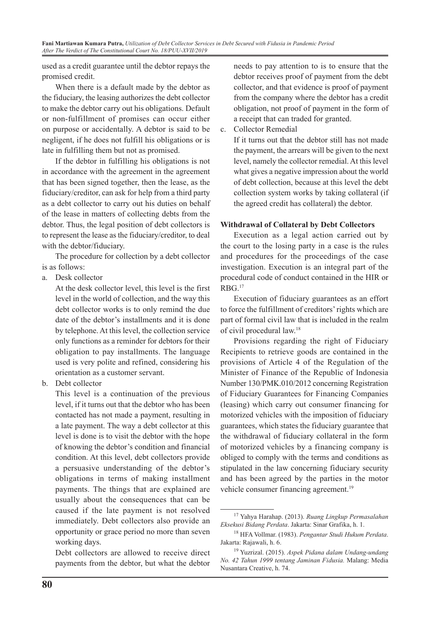used as a credit guarantee until the debtor repays the promised credit.

When there is a default made by the debtor as the fiduciary, the leasing authorizes the debt collector to make the debtor carry out his obligations. Default or non-fulfillment of promises can occur either on purpose or accidentally. A debtor is said to be negligent, if he does not fulfill his obligations or is late in fulfilling them but not as promised.

If the debtor in fulfilling his obligations is not in accordance with the agreement in the agreement that has been signed together, then the lease, as the fiduciary/creditor, can ask for help from a third party as a debt collector to carry out his duties on behalf of the lease in matters of collecting debts from the debtor. Thus, the legal position of debt collectors is to represent the lease as the fiduciary/creditor, to deal with the debtor/fiduciary.

The procedure for collection by a debt collector is as follows:

a. Desk collector

At the desk collector level, this level is the first level in the world of collection, and the way this debt collector works is to only remind the due date of the debtor's installments and it is done by telephone. At this level, the collection service only functions as a reminder for debtors for their obligation to pay installments. The language used is very polite and refined, considering his orientation as a customer servant.

b. Debt collector

This level is a continuation of the previous level, if it turns out that the debtor who has been contacted has not made a payment, resulting in a late payment. The way a debt collector at this level is done is to visit the debtor with the hope of knowing the debtor's condition and financial condition. At this level, debt collectors provide a persuasive understanding of the debtor's obligations in terms of making installment payments. The things that are explained are usually about the consequences that can be caused if the late payment is not resolved immediately. Debt collectors also provide an opportunity or grace period no more than seven working days.

Debt collectors are allowed to receive direct payments from the debtor, but what the debtor needs to pay attention to is to ensure that the debtor receives proof of payment from the debt collector, and that evidence is proof of payment from the company where the debtor has a credit obligation, not proof of payment in the form of a receipt that can traded for granted.

c. Collector Remedial

If it turns out that the debtor still has not made the payment, the arrears will be given to the next level, namely the collector remedial. At this level what gives a negative impression about the world of debt collection, because at this level the debt collection system works by taking collateral (if the agreed credit has collateral) the debtor.

## **Withdrawal of Collateral by Debt Collectors**

Execution as a legal action carried out by the court to the losing party in a case is the rules and procedures for the proceedings of the case investigation. Execution is an integral part of the procedural code of conduct contained in the HIR or RBG.17

Execution of fiduciary guarantees as an effort to force the fulfillment of creditors' rights which are part of formal civil law that is included in the realm of civil procedural law.18

Provisions regarding the right of Fiduciary Recipients to retrieve goods are contained in the provisions of Article 4 of the Regulation of the Minister of Finance of the Republic of Indonesia Number 130/PMK.010/2012 concerning Registration of Fiduciary Guarantees for Financing Companies (leasing) which carry out consumer financing for motorized vehicles with the imposition of fiduciary guarantees, which states the fiduciary guarantee that the withdrawal of fiduciary collateral in the form of motorized vehicles by a financing company is obliged to comply with the terms and conditions as stipulated in the law concerning fiduciary security and has been agreed by the parties in the motor vehicle consumer financing agreement.<sup>19</sup>

<sup>17</sup> Yahya Harahap. (2013). *Ruang Lingkup Permasalahan Eksekusi Bidang Perdata*. Jakarta: Sinar Grafika, h. 1.

<sup>18</sup> HFA Vollmar. (1983). *Pengantar Studi Hukum Perdata*. Jakarta: Rajawali, h. 6.

<sup>19</sup> Yuzrizal. (2015). *Aspek Pidana dalam Undang-undang No. 42 Tahun 1999 tentang Jaminan Fidusia.* Malang: Media Nusantara Creative, h. 74.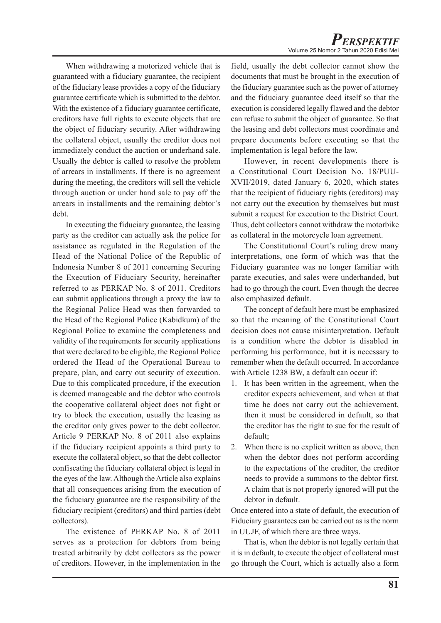When withdrawing a motorized vehicle that is guaranteed with a fiduciary guarantee, the recipient of the fiduciary lease provides a copy of the fiduciary guarantee certificate which is submitted to the debtor. With the existence of a fiduciary guarantee certificate, creditors have full rights to execute objects that are the object of fiduciary security. After withdrawing the collateral object, usually the creditor does not immediately conduct the auction or underhand sale. Usually the debtor is called to resolve the problem of arrears in installments. If there is no agreement during the meeting, the creditors will sell the vehicle through auction or under hand sale to pay off the arrears in installments and the remaining debtor's debt.

In executing the fiduciary guarantee, the leasing party as the creditor can actually ask the police for assistance as regulated in the Regulation of the Head of the National Police of the Republic of Indonesia Number 8 of 2011 concerning Securing the Execution of Fiduciary Security, hereinafter referred to as PERKAP No. 8 of 2011. Creditors can submit applications through a proxy the law to the Regional Police Head was then forwarded to the Head of the Regional Police (Kabidkum) of the Regional Police to examine the completeness and validity of the requirements for security applications that were declared to be eligible, the Regional Police ordered the Head of the Operational Bureau to prepare, plan, and carry out security of execution. Due to this complicated procedure, if the execution is deemed manageable and the debtor who controls the cooperative collateral object does not fight or try to block the execution, usually the leasing as the creditor only gives power to the debt collector. Article 9 PERKAP No. 8 of 2011 also explains if the fiduciary recipient appoints a third party to execute the collateral object, so that the debt collector confiscating the fiduciary collateral object is legal in the eyes of the law. Although the Article also explains that all consequences arising from the execution of the fiduciary guarantee are the responsibility of the fiduciary recipient (creditors) and third parties (debt collectors).

The existence of PERKAP No. 8 of 2011 serves as a protection for debtors from being treated arbitrarily by debt collectors as the power of creditors. However, in the implementation in the field, usually the debt collector cannot show the documents that must be brought in the execution of the fiduciary guarantee such as the power of attorney and the fiduciary guarantee deed itself so that the execution is considered legally flawed and the debtor can refuse to submit the object of guarantee. So that the leasing and debt collectors must coordinate and prepare documents before executing so that the implementation is legal before the law.

However, in recent developments there is a Constitutional Court Decision No. 18/PUU-XVII/2019, dated January 6, 2020, which states that the recipient of fiduciary rights (creditors) may not carry out the execution by themselves but must submit a request for execution to the District Court. Thus, debt collectors cannot withdraw the motorbike as collateral in the motorcycle loan agreement.

The Constitutional Court's ruling drew many interpretations, one form of which was that the Fiduciary guarantee was no longer familiar with parate executies, and sales were underhanded, but had to go through the court. Even though the decree also emphasized default.

The concept of default here must be emphasized so that the meaning of the Constitutional Court decision does not cause misinterpretation. Default is a condition where the debtor is disabled in performing his performance, but it is necessary to remember when the default occurred. In accordance with Article 1238 BW, a default can occur if:

- 1. It has been written in the agreement, when the creditor expects achievement, and when at that time he does not carry out the achievement, then it must be considered in default, so that the creditor has the right to sue for the result of default;
- 2. When there is no explicit written as above, then when the debtor does not perform according to the expectations of the creditor, the creditor needs to provide a summons to the debtor first. A claim that is not properly ignored will put the debtor in default.

Once entered into a state of default, the execution of Fiduciary guarantees can be carried out as is the norm in UUJF, of which there are three ways.

That is, when the debtor is not legally certain that it is in default, to execute the object of collateral must go through the Court, which is actually also a form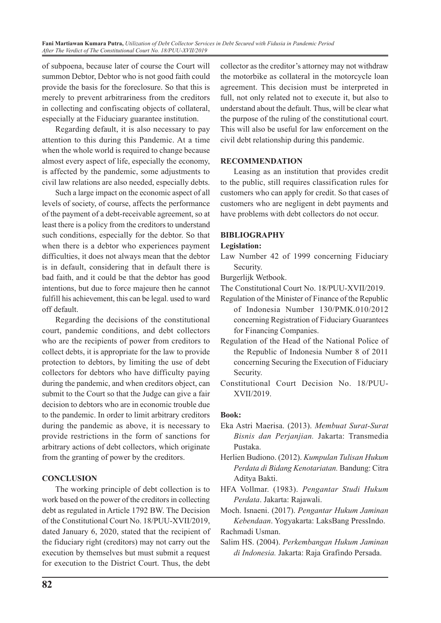**Fani Martiawan Kumara Putra,** *Utilization of Debt Collector Services in Debt Secured with Fidusia in Pandemic Period After The Verdict of The Constitutional Court No. 18/PUU-XVII/2019*

of subpoena, because later of course the Court will summon Debtor, Debtor who is not good faith could provide the basis for the foreclosure. So that this is merely to prevent arbitrariness from the creditors in collecting and confiscating objects of collateral, especially at the Fiduciary guarantee institution.

Regarding default, it is also necessary to pay attention to this during this Pandemic. At a time when the whole world is required to change because almost every aspect of life, especially the economy, is affected by the pandemic, some adjustments to civil law relations are also needed, especially debts.

Such a large impact on the economic aspect of all levels of society, of course, affects the performance of the payment of a debt-receivable agreement, so at least there is a policy from the creditors to understand such conditions, especially for the debtor. So that when there is a debtor who experiences payment difficulties, it does not always mean that the debtor is in default, considering that in default there is bad faith, and it could be that the debtor has good intentions, but due to force majeure then he cannot fulfill his achievement, this can be legal. used to ward off default.

Regarding the decisions of the constitutional court, pandemic conditions, and debt collectors who are the recipients of power from creditors to collect debts, it is appropriate for the law to provide protection to debtors, by limiting the use of debt collectors for debtors who have difficulty paying during the pandemic, and when creditors object, can submit to the Court so that the Judge can give a fair decision to debtors who are in economic trouble due to the pandemic. In order to limit arbitrary creditors during the pandemic as above, it is necessary to provide restrictions in the form of sanctions for arbitrary actions of debt collectors, which originate from the granting of power by the creditors.

## **CONCLUSION**

The working principle of debt collection is to work based on the power of the creditors in collecting debt as regulated in Article 1792 BW. The Decision of the Constitutional Court No. 18/PUU-XVII/2019, dated January 6, 2020, stated that the recipient of the fiduciary right (creditors) may not carry out the execution by themselves but must submit a request for execution to the District Court. Thus, the debt collector as the creditor's attorney may not withdraw the motorbike as collateral in the motorcycle loan agreement. This decision must be interpreted in full, not only related not to execute it, but also to understand about the default. Thus, will be clear what the purpose of the ruling of the constitutional court. This will also be useful for law enforcement on the civil debt relationship during this pandemic.

## **RECOMMENDATION**

Leasing as an institution that provides credit to the public, still requires classification rules for customers who can apply for credit. So that cases of customers who are negligent in debt payments and have problems with debt collectors do not occur.

#### **BIBLIOGRAPHY**

**Legislation:**

Law Number 42 of 1999 concerning Fiduciary Security.

Burgerlijk Wetbook.

- The Constitutional Court No. 18/PUU-XVII/2019.
- Regulation of the Minister of Finance of the Republic of Indonesia Number 130/PMK.010/2012 concerning Registration of Fiduciary Guarantees for Financing Companies.
- Regulation of the Head of the National Police of the Republic of Indonesia Number 8 of 2011 concerning Securing the Execution of Fiduciary Security.
- Constitutional Court Decision No. 18/PUU-XVII/2019.

#### **Book:**

- Eka Astri Maerisa. (2013). *Membuat Surat-Surat Bisnis dan Perjanjian.* Jakarta: Transmedia Pustaka.
- Herlien Budiono. (2012). *Kumpulan Tulisan Hukum Perdata di Bidang Kenotariatan.* Bandung: Citra Aditya Bakti.
- HFA Vollmar. (1983). *Pengantar Studi Hukum Perdata*. Jakarta: Rajawali.

Moch. Isnaeni. (2017). *Pengantar Hukum Jaminan Kebendaan*. Yogyakarta: LaksBang PressIndo.

Rachmadi Usman.

Salim HS. (2004). *Perkembangan Hukum Jaminan di Indonesia.* Jakarta: Raja Grafindo Persada.